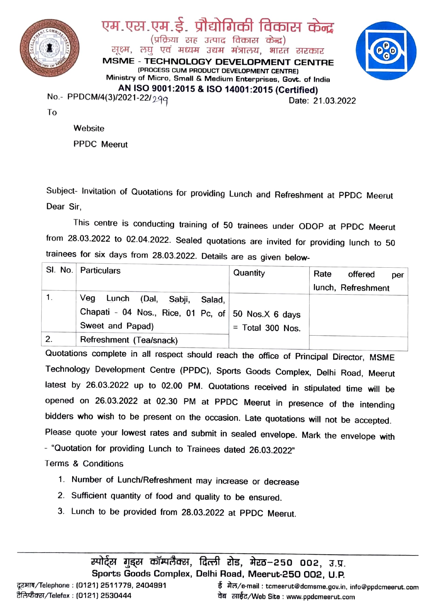





To

**Website** PPDC Meerut

Subject- Invitation of Quotations for providing Lunch and Refreshment at PPDC Meerut Dear Sir,

This centre is conducting training of 50 trainees under ODOP at PPDC Meerut from 28.03.2022 to 02.04.2022. Sealed quotations are invited for providing lunch to 50 trainees for six days from 28.03.2022. Details are as given below-

|    | SI. No. Particulars                                | Quantity           | Rate<br>offered<br>per |
|----|----------------------------------------------------|--------------------|------------------------|
|    |                                                    |                    | lunch, Refreshment     |
|    | Veq<br>, Lunch (Dal, Sabji,<br>Salad, <i>'</i>     |                    |                        |
|    | Chapati - 04 Nos., Rice, 01 Pc, of 50 Nos.X 6 days |                    |                        |
|    | Sweet and Papad)                                   | $=$ Total 300 Nos. |                        |
| 2. | Refreshment (Tea/snack)                            |                    |                        |

Quotations complete in all respect should reach the office of Principal Director, MSME Technology Development Centre (PPDC), Sports Goods Complex, Delhi Road, Meerut latest by 26.03.2022 up to 02.00 PM. Quotations received in stipulated time will be opened on 26.03.2022 at 02.30 PM at PPDC Meerut in presence of the intending bidders who wish to be present on the occasion. Late quotations will not be accepted. Please quote your lowest rates and submit in sealed envelope. Mark the envelope with "Quotation for providing Lunch to Trainees dated 26.03.2022"

Terms& Conditions

- 1. Number of Lunch/Refreshment may increase or decrease
- 2. Sufficient quantity of food and quality to be ensured.
- 3. Lunch to be provided from 28.03.2022 at PPDC Meerut.